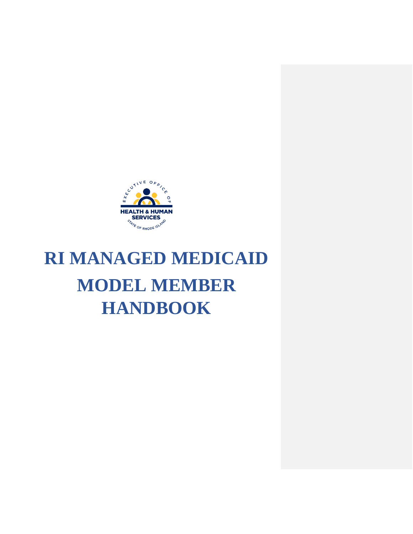

# **RI MANAGED MEDICAID MODEL MEMBER HANDBOOK**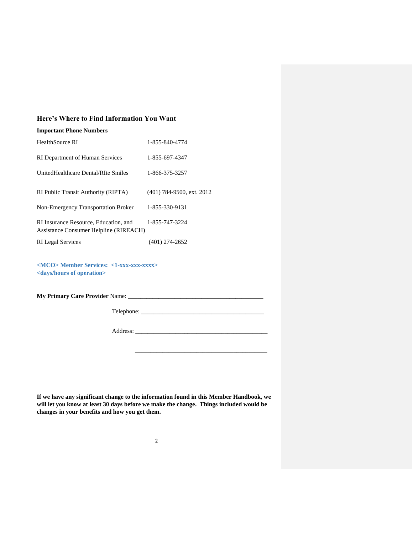# **Here's Where to Find Information You Want**

| <b>Important Phone Numbers</b>                                                                    |                             |
|---------------------------------------------------------------------------------------------------|-----------------------------|
| <b>HealthSource RI</b>                                                                            | 1-855-840-4774              |
| RI Department of Human Services                                                                   | 1-855-697-4347              |
| UnitedHealthcare Dental/RIte Smiles                                                               | 1-866-375-3257              |
|                                                                                                   |                             |
| RI Public Transit Authority (RIPTA)                                                               | $(401)$ 784-9500, ext. 2012 |
| Non-Emergency Transportation Broker                                                               | 1-855-330-9131              |
| RI Insurance Resource, Education, and<br>Assistance Consumer Helpline (RIREACH)                   | 1-855-747-3224              |
| <b>RI</b> Legal Services                                                                          | $(401)$ 274-2652            |
| <mco> Member Services: &lt;1-xxx-xxx-xxxx&gt;<br/><days hours="" of="" operation=""></days></mco> |                             |
| <b>My Primary Care Provider Name:</b>                                                             |                             |

Telephone: \_\_\_\_\_\_\_\_\_\_\_\_\_\_\_\_\_\_\_\_\_\_\_\_\_\_\_\_\_\_\_\_\_\_\_\_\_\_\_\_

 $\overline{\phantom{a}}$  ,  $\overline{\phantom{a}}$  ,  $\overline{\phantom{a}}$  ,  $\overline{\phantom{a}}$  ,  $\overline{\phantom{a}}$  ,  $\overline{\phantom{a}}$  ,  $\overline{\phantom{a}}$  ,  $\overline{\phantom{a}}$  ,  $\overline{\phantom{a}}$  ,  $\overline{\phantom{a}}$  ,  $\overline{\phantom{a}}$  ,  $\overline{\phantom{a}}$  ,  $\overline{\phantom{a}}$  ,  $\overline{\phantom{a}}$  ,  $\overline{\phantom{a}}$  ,  $\overline{\phantom{a}}$ 

Address: \_\_\_\_\_\_\_\_\_\_\_\_\_\_\_\_\_\_\_\_\_\_\_\_\_\_\_\_\_\_\_\_\_\_\_\_\_\_\_\_\_\_\_

**If we have any significant change to the information found in this Member Handbook, we will let you know at least 30 days before we make the change. Things included would be changes in your benefits and how you get them.**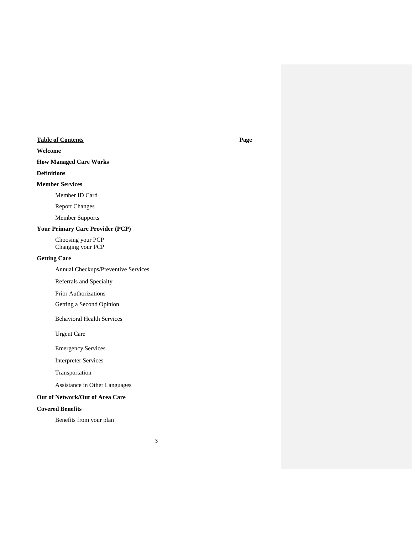# **Table of Contents Page**

#### **Welcome**

# **How Managed Care Works**

#### **Definitions**

#### **Member Services**

Member ID Card

Report Changes

Member Supports

# **Your Primary Care Provider (PCP)**

Choosing your PCP Changing your PCP

#### **Getting Care**

Annual Checkups/Preventive Services

Referrals and Specialty

Prior Authorizations

Getting a Second Opinion

Behavioral Health Services

Urgent Care

Emergency Services

Interpreter Services

Transportation

Assistance in Other Languages

#### **Out of Network/Out of Area Care**

### **Covered Benefits**

Benefits from your plan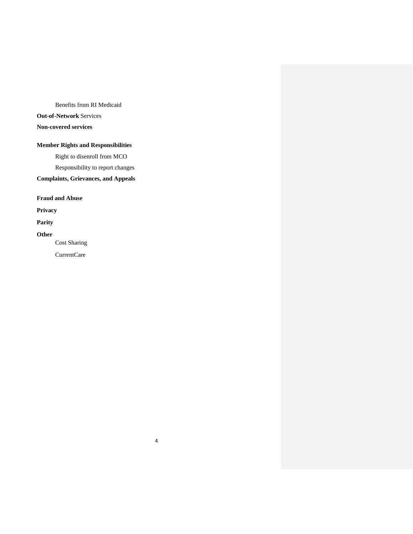Benefits from RI Medicaid

# **Out-of-Network** Services

# **Non-covered services**

# **Member Rights and Responsibilities**

Right to disenroll from MCO

Responsibility to report changes

# **Complaints, Grievances, and Appeals**

**Fraud and Abuse**

**Privacy**

# **Parity**

**Other**

Cost Sharing

CurrentCare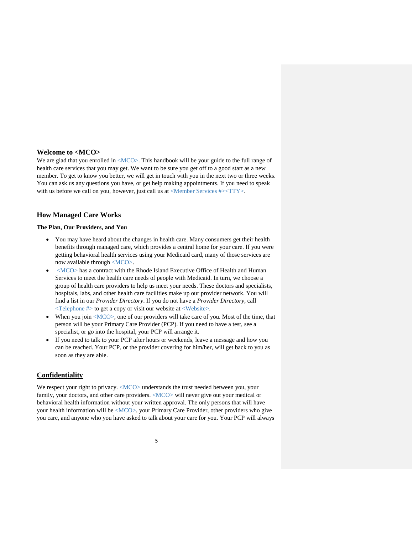#### **Welcome to <MCO>**

We are glad that you enrolled in  $\langle MCO \rangle$ . This handbook will be your guide to the full range of health care services that you may get. We want to be sure you get off to a good start as a new member. To get to know you better, we will get in touch with you in the next two or three weeks. You can ask us any questions you have, or get help making appointments. If you need to speak with us before we call on you, however, just call us at <Member Services #><TTY>.

#### **How Managed Care Works**

#### **The Plan, Our Providers, and You**

- You may have heard about the changes in health care. Many consumers get their health benefits through managed care, which provides a central home for your care. If you were getting behavioral health services using your Medicaid card, many of those services are now available through <MCO>.
- <MCO> has a contract with the Rhode Island Executive Office of Health and Human Services to meet the health care needs of people with Medicaid. In turn, we choose a group of health care providers to help us meet your needs. These doctors and specialists, hospitals, labs, and other health care facilities make up our provider network. You will find a list in our *Provider Directory*. If you do not have a *Provider Directory*, call <Telephone #> to get a copy or visit our website at <Website>.
- When you join  $\langle MCO \rangle$ , one of our providers will take care of you. Most of the time, that person will be your Primary Care Provider (PCP). If you need to have a test, see a specialist, or go into the hospital, your PCP will arrange it.
- If you need to talk to your PCP after hours or weekends, leave a message and how you can be reached. Your PCP, or the provider covering for him/her, will get back to you as soon as they are able.

### **Confidentiality**

We respect your right to privacy. <MCO> understands the trust needed between you, your family, your doctors, and other care providers. <MCO> will never give out your medical or behavioral health information without your written approval. The only persons that will have your health information will be <MCO>, your Primary Care Provider, other providers who give you care, and anyone who you have asked to talk about your care for you. Your PCP will always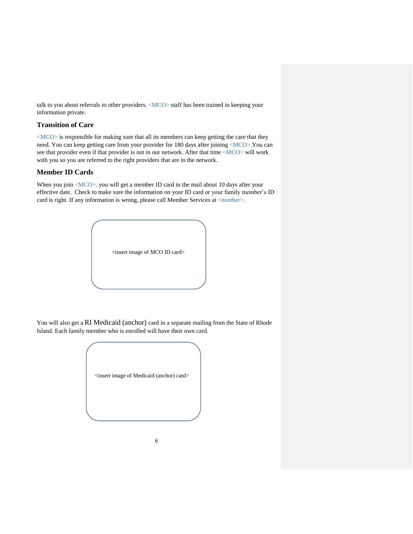talk to you about referrals to other providers. <MCO> staff has been trained in keeping your information private.

### **Transition of Care**

<MCO> is responsible for making sure that all its members can keep getting the care that they need. You can keep getting care from your provider for 180 days after joining <MCO>.You can see that provider even if that provider is not in our network. After that time <MCO> will work with you so you are referred to the right providers that are in the network.

# **Member ID Cards**

When you join <MCO>, you will get a member ID card in the mail about 10 days after your effective date. Check to make sure the information on your ID card or your family member's ID card is right. If any information is wrong, please call Member Services at <number>.



You will also get a RI Medicaid (anchor) card in a separate mailing from the State of Rhode Island. Each family member who is enrolled will have their own card.

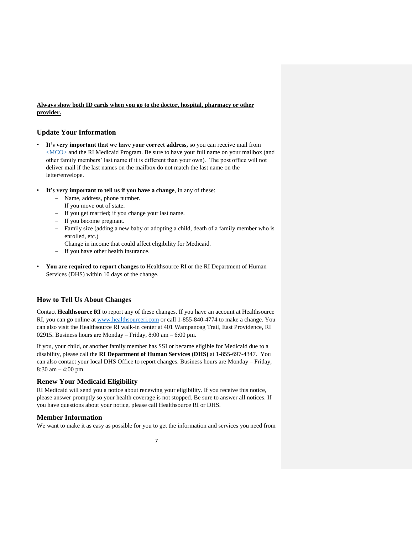#### **Always show both ID cards when you go to the doctor, hospital, pharmacy or other provider.**

#### **Update Your Information**

- It's very important that we have your correct address, so you can receive mail from <MCO> and the RI Medicaid Program. Be sure to have your full name on your mailbox (and other family members' last name if it is different than your own). The post office will not deliver mail if the last names on the mailbox do not match the last name on the letter/envelope.
- **It's very important to tell us if you have a change**, in any of these:
	- − Name, address, phone number.
	- − If you move out of state.
	- − If you get married; if you change your last name.
	- − If you become pregnant.
	- − Family size (adding a new baby or adopting a child, death of a family member who is enrolled, etc.)
	- − Change in income that could affect eligibility for Medicaid.
	- − If you have other health insurance.
- **You are required to report changes** to Healthsource RI or the RI Department of Human Services (DHS) within 10 days of the change.

### **How to Tell Us About Changes**

Contact **Healthsource RI** to report any of these changes. If you have an account at Healthsource RI, you can go online at [www.healthsourceri.com](http://www.healthsourceri.com/) or call 1-855-840-4774 to make a change. You can also visit the Healthsource RI walk-in center at 401 Wampanoag Trail, East Providence, RI 02915. Business hours are Monday – Friday, 8:00 am – 6:00 pm.

If you, your child, or another family member has SSI or became eligible for Medicaid due to a disability, please call the **RI Department of Human Services (DHS)** at 1-855-697-4347. You can also contact your local DHS Office to report changes. Business hours are Monday – Friday, 8:30 am – 4:00 pm.

#### **Renew Your Medicaid Eligibility**

RI Medicaid will send you a notice about renewing your eligibility. If you receive this notice, please answer promptly so your health coverage is not stopped. Be sure to answer all notices. If you have questions about your notice, please call Healthsource RI or DHS.

#### **Member Information**

We want to make it as easy as possible for you to get the information and services you need from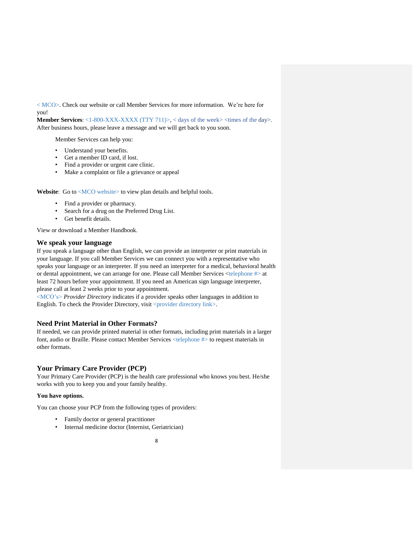< MCO>. Check our website or call Member Services for more information. We're here for you!

**Member Services:** <1-800-XXX-XXXX (TTY 711)>, < days of the week> <times of the day>. After business hours, please leave a message and we will get back to you soon.

Member Services can help you:

- Understand your benefits.
- Get a member ID card, if lost.
- Find a provider or urgent care clinic.
- Make a complaint or file a grievance or appeal

Website: Go to <MCO website> to view plan details and helpful tools.

- Find a provider or pharmacy.
- Search for a drug on the Preferred Drug List.
- Get benefit details.

View or download a Member Handbook.

#### **We speak your language**

If you speak a language other than English, we can provide an interpreter or print materials in your language. If you call Member Services we can connect you with a representative who speaks your language or an interpreter. If you need an interpreter for a medical, behavioral health or dental appointment, we can arrange for one. Please call Member Services <telephone #> at least 72 hours before your appointment. If you need an American sign language interpreter, please call at least 2 weeks prior to your appointment.

<MCO's> *Provider Directory* indicates if a provider speaks other languages in addition to English. To check the Provider Directory, visit <provider directory link>.

#### **Need Print Material in Other Formats?**

If needed, we can provide printed material in other formats, including print materials in a larger font, audio or Braille. Please contact Member Services <telephone #> to request materials in other formats.

#### **Your Primary Care Provider (PCP)**

Your Primary Care Provider (PCP) is the health care professional who knows you best. He/she works with you to keep you and your family healthy.

#### **You have options.**

You can choose your PCP from the following types of providers:

- Family doctor or general practitioner
- Internal medicine doctor (Internist, Geriatrician)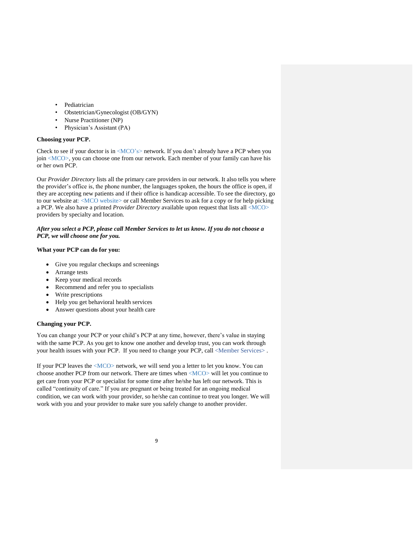- Pediatrician
- Obstetrician/Gynecologist (OB/GYN)
- Nurse Practitioner (NP)
- Physician's Assistant (PA)

#### **Choosing your PCP.**

Check to see if your doctor is in  $\langle MCO\rangle^2$  network. If you don't already have a PCP when you join <MCO>, you can choose one from our network. Each member of your family can have his or her own PCP.

Our *Provider Directory* lists all the primary care providers in our network. It also tells you where the provider's office is, the phone number, the languages spoken, the hours the office is open, if they are accepting new patients and if their office is handicap accessible. To see the directory, go to our website at: <MCO website> or call Member Services to ask for a copy or for help picking a PCP. We also have a printed *Provider Directory* available upon request that lists all <MCO> providers by specialty and location.

#### *After you select a PCP, please call Member Services to let us know. If you do not choose a PCP, we will choose one for you.*

#### **What your PCP can do for you:**

- Give you regular checkups and screenings
- Arrange tests
- Keep your medical records
- Recommend and refer you to specialists
- Write prescriptions
- Help you get behavioral health services
- Answer questions about your health care

#### **Changing your PCP.**

You can change your PCP or your child's PCP at any time, however, there's value in staying with the same PCP. As you get to know one another and develop trust, you can work through your health issues with your PCP. If you need to change your PCP, call <Member Services>.

If your PCP leaves the <MCO> network, we will send you a letter to let you know. You can choose another PCP from our network. There are times when <MCO> will let you continue to get care from your PCP or specialist for some time after he/she has left our network. This is called "continuity of care." If you are pregnant or being treated for an ongoing medical condition, we can work with your provider, so he/she can continue to treat you longer. We will work with you and your provider to make sure you safely change to another provider.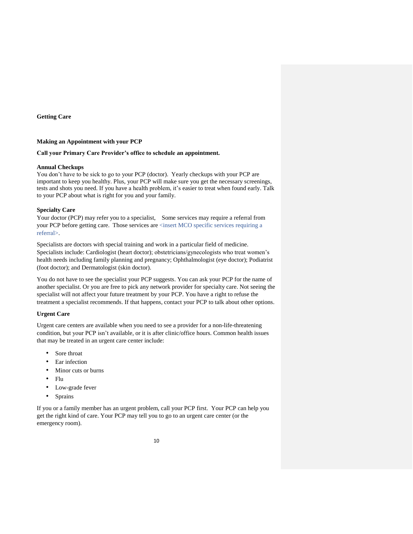**Getting Care** 

#### **Making an Appointment with your PCP**

#### **Call your Primary Care Provider's office to schedule an appointment.**

#### **Annual Checkups**

You don't have to be sick to go to your PCP (doctor). Yearly checkups with your PCP are important to keep you healthy. Plus, your PCP will make sure you get the necessary screenings, tests and shots you need. If you have a health problem, it's easier to treat when found early. Talk to your PCP about what is right for you and your family.

#### **Specialty Care**

Your doctor (PCP) may refer you to a specialist, Some services may require a referral from your PCP before getting care. Those services are <insert MCO specific services requiring a referral>.

Specialists are doctors with special training and work in a particular field of medicine. Specialists include: Cardiologist (heart doctor); obstetricians/gynecologists who treat women's health needs including family planning and pregnancy; Ophthalmologist (eye doctor); Podiatrist (foot doctor); and Dermatologist (skin doctor).

You do not have to see the specialist your PCP suggests. You can ask your PCP for the name of another specialist. Or you are free to pick any network provider for specialty care. Not seeing the specialist will not affect your future treatment by your PCP. You have a right to refuse the treatment a specialist recommends. If that happens, contact your PCP to talk about other options.

#### **Urgent Care**

Urgent care centers are available when you need to see a provider for a non-life-threatening condition, but your PCP isn't available, or it is after clinic/office hours. Common health issues that may be treated in an urgent care center include:

- Sore throat
- Ear infection
- Minor cuts or burns
- Flu
- Low-grade fever
- Sprains

If you or a family member has an urgent problem, call your PCP first. Your PCP can help you get the right kind of care. Your PCP may tell you to go to an urgent care center (or the emergency room).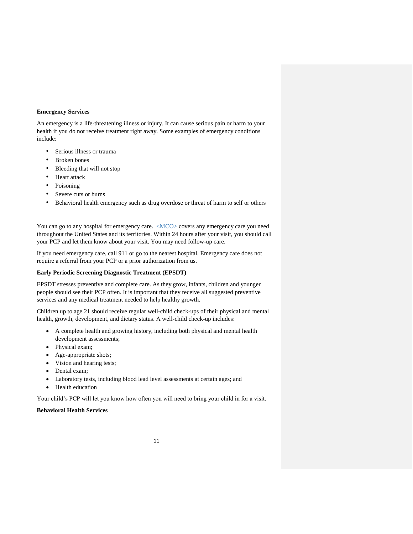#### **Emergency Services**

An emergency is a life-threatening illness or injury. It can cause serious pain or harm to your health if you do not receive treatment right away. Some examples of emergency conditions include:

- Serious illness or trauma
- Broken bones
- Bleeding that will not stop
- Heart attack
- Poisoning
- Severe cuts or burns
- Behavioral health emergency such as drug overdose or threat of harm to self or others

You can go to any hospital for emergency care. <MCO> covers any emergency care you need throughout the United States and its territories. Within 24 hours after your visit, you should call your PCP and let them know about your visit. You may need follow-up care.

If you need emergency care, call 911 or go to the nearest hospital. Emergency care does not require a referral from your PCP or a prior authorization from us.

#### **Early Periodic Screening Diagnostic Treatment (EPSDT)**

EPSDT stresses preventive and complete care. As they grow, infants, children and younger people should see their PCP often. It is important that they receive all suggested preventive services and any medical treatment needed to help healthy growth.

Children up to age 21 should receive regular well-child check-ups of their physical and mental health, growth, development, and dietary status. A well-child check-up includes:

- A complete health and growing history, including both physical and mental health development assessments;
- Physical exam;
- Age-appropriate shots;
- Vision and hearing tests;
- Dental exam;
- Laboratory tests, including blood lead level assessments at certain ages; and
- Health education

Your child's PCP will let you know how often you will need to bring your child in for a visit.

#### **Behavioral Health Services**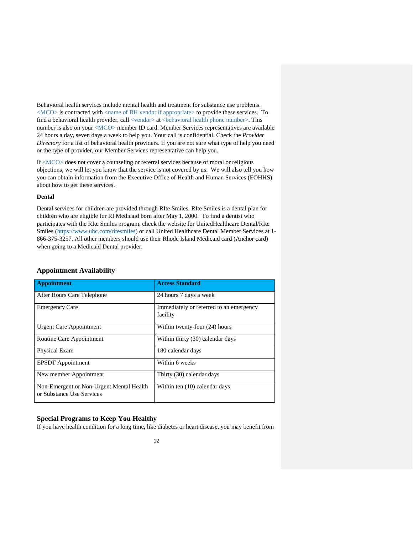Behavioral health services include mental health and treatment for substance use problems.  $\langle MCO \rangle$  is contracted with  $\langle$  name of BH vendor if appropriate $>$  to provide these services. To find a behavioral health provider, call <vendor> at <br/> <br/>ehavioral health phone number>. This number is also on your <MCO> member ID card. Member Services representatives are available 24 hours a day, seven days a week to help you. Your call is confidential. Check the *Provider Directory* for a list of behavioral health providers. If you are not sure what type of help you need or the type of provider, our Member Services representative can help you.

If <MCO> does not cover a counseling or referral services because of moral or religious objections, we will let you know that the service is not covered by us. We will also tell you how you can obtain information from the Executive Office of Health and Human Services (EOHHS) about how to get these services.

#### **Dental**

Dental services for children are provided through RIte Smiles. RIte Smiles is a dental plan for children who are eligible for RI Medicaid born after May 1, 2000. To find a dentist who participates with the RIte Smiles program, check the website for UnitedHealthcare Dental/RIte Smiles [\(https://www.uhc.com/ritesmiles\)](https://www.uhc.com/ritesmiles) or call United Healthcare Dental Member Services at 1- 866-375-3257. All other members should use their Rhode Island Medicaid card (Anchor card) when going to a Medicaid Dental provider.

#### **Appointment Availability**

| <b>Appointment</b>                                                    | <b>Access Standard</b>                              |
|-----------------------------------------------------------------------|-----------------------------------------------------|
| After Hours Care Telephone                                            | 24 hours 7 days a week                              |
| <b>Emergency Care</b>                                                 | Immediately or referred to an emergency<br>facility |
| <b>Urgent Care Appointment</b>                                        | Within twenty-four (24) hours                       |
| Routine Care Appointment                                              | Within thirty (30) calendar days                    |
| Physical Exam                                                         | 180 calendar days                                   |
| <b>EPSDT</b> Appointment                                              | Within 6 weeks                                      |
| New member Appointment                                                | Thirty (30) calendar days                           |
| Non-Emergent or Non-Urgent Mental Health<br>or Substance Use Services | Within ten (10) calendar days                       |

## **Special Programs to Keep You Healthy**

If you have health condition for a long time, like diabetes or heart disease, you may benefit from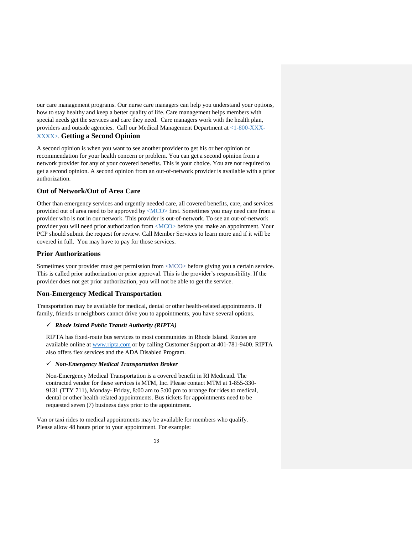our care management programs. Our nurse care managers can help you understand your options, how to stay healthy and keep a better quality of life. Care management helps members with special needs get the services and care they need. Care managers work with the health plan, providers and outside agencies. Call our Medical Management Department at <1-800-XXX-XXXX>. **Getting a Second Opinion**

A second opinion is when you want to see another provider to get his or her opinion or recommendation for your health concern or problem. You can get a second opinion from a network provider for any of your covered benefits. This is your choice. You are not required to get a second opinion. A second opinion from an out-of-network provider is available with a prior authorization.

#### **Out of Network/Out of Area Care**

Other than emergency services and urgently needed care, all covered benefits, care, and services provided out of area need to be approved by <MCO> first. Sometimes you may need care from a provider who is not in our network. This provider is out-of-network. To see an out-of-network provider you will need prior authorization from <MCO> before you make an appointment. Your PCP should submit the request for review. Call Member Services to learn more and if it will be covered in full. You may have to pay for those services.

#### **Prior Authorizations**

Sometimes your provider must get permission from <MCO> before giving you a certain service. This is called prior authorization or prior approval. This is the provider's responsibility. If the provider does not get prior authorization, you will not be able to get the service.

#### **Non-Emergency Medical Transportation**

Transportation may be available for medical, dental or other health-related appointments. If family, friends or neighbors cannot drive you to appointments, you have several options.

#### ✓ *Rhode Island Public Transit Authority (RIPTA)*

RIPTA has fixed-route bus services to most communities in Rhode Island. Routes are available online at [www.ripta.com](http://www.ripta.com/) or by calling Customer Support at 401-781-9400. RIPTA also offers flex services and the ADA Disabled Program.

#### ✓ *Non-Emergency Medical Transportation Broker*

Non-Emergency Medical Transportation is a covered benefit in RI Medicaid. The contracted vendor for these services is MTM, Inc. Please contact MTM at 1-855-330- 9131 (TTY 711), Monday- Friday, 8:00 am to 5:00 pm to arrange for rides to medical, dental or other health-related appointments. Bus tickets for appointments need to be requested seven (7) business days prior to the appointment.

Van or taxi rides to medical appointments may be available for members who qualify. Please allow 48 hours prior to your appointment. For example: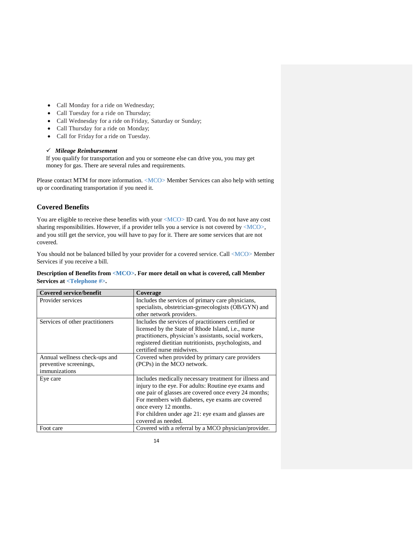- Call Monday for a ride on Wednesday;
- Call Tuesday for a ride on Thursday;
- Call Wednesday for a ride on Friday, Saturday or Sunday;
- Call Thursday for a ride on Monday;
- Call for Friday for a ride on Tuesday.

#### ✓ *Mileage Reimbursement*

If you qualify for transportation and you or someone else can drive you, you may get money for gas. There are several rules and requirements.

Please contact MTM for more information. <MCO> Member Services can also help with setting up or coordinating transportation if you need it.

# **Covered Benefits**

You are eligible to receive these benefits with your <MCO> ID card. You do not have any cost sharing responsibilities. However, if a provider tells you a service is not covered by <MCO>, and you still get the service, you will have to pay for it. There are some services that are not covered.

You should not be balanced billed by your provider for a covered service. Call <MCO> Member Services if you receive a bill.

#### **Description of Benefits from <MCO>. For more detail on what is covered, call Member Services at <Telephone #>.**

| <b>Covered service/benefit</b>  | Coverage                                               |
|---------------------------------|--------------------------------------------------------|
| Provider services               | Includes the services of primary care physicians,      |
|                                 | specialists, obstetrician-gynecologists (OB/GYN) and   |
|                                 | other network providers.                               |
| Services of other practitioners | Includes the services of practitioners certified or    |
|                                 | licensed by the State of Rhode Island, i.e., nurse     |
|                                 | practitioners, physician's assistants, social workers, |
|                                 | registered dietitian nutritionists, psychologists, and |
|                                 | certified nurse midwives.                              |
| Annual wellness check-ups and   | Covered when provided by primary care providers        |
| preventive screenings,          | (PCPs) in the MCO network.                             |
| immunizations                   |                                                        |
| Eye care                        | Includes medically necessary treatment for illness and |
|                                 | injury to the eye. For adults: Routine eye exams and   |
|                                 | one pair of glasses are covered once every 24 months;  |
|                                 | For members with diabetes, eye exams are covered       |
|                                 | once every 12 months.                                  |
|                                 | For children under age 21: eye exam and glasses are    |
|                                 | covered as needed.                                     |
| Foot care                       | Covered with a referral by a MCO physician/provider.   |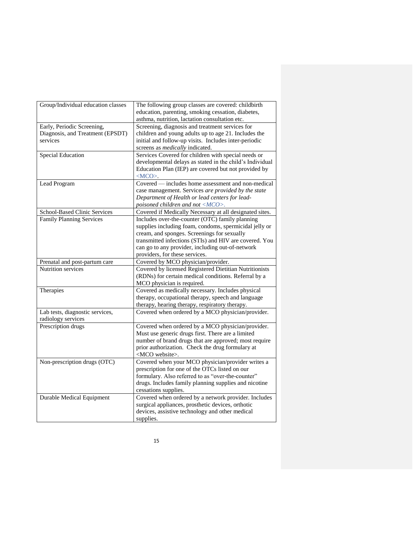| Group/Individual education classes  | The following group classes are covered: childbirth<br>education, parenting, smoking cessation, diabetes,<br>asthma, nutrition, lactation consultation etc. |
|-------------------------------------|-------------------------------------------------------------------------------------------------------------------------------------------------------------|
| Early, Periodic Screening,          | Screening, diagnosis and treatment services for                                                                                                             |
| Diagnosis, and Treatment (EPSDT)    | children and young adults up to age 21. Includes the                                                                                                        |
| services                            |                                                                                                                                                             |
|                                     | initial and follow-up visits. Includes inter-periodic                                                                                                       |
|                                     | screens as <i>medically</i> indicated.                                                                                                                      |
| <b>Special Education</b>            | Services Covered for children with special needs or                                                                                                         |
|                                     | developmental delays as stated in the child's Individual                                                                                                    |
|                                     | Education Plan (IEP) are covered but not provided by                                                                                                        |
|                                     | $ MCO$ .                                                                                                                                                    |
| Lead Program                        | Covered — includes home assessment and non-medical                                                                                                          |
|                                     | case management. Services are provided by the state                                                                                                         |
|                                     | Department of Health or lead centers for lead-                                                                                                              |
|                                     | poisoned children and not <mco>.</mco>                                                                                                                      |
| <b>School-Based Clinic Services</b> | Covered if Medically Necessary at all designated sites.                                                                                                     |
| Family Planning Services            | Includes over-the-counter (OTC) family planning                                                                                                             |
|                                     | supplies including foam, condoms, spermicidal jelly or                                                                                                      |
|                                     | cream, and sponges. Screenings for sexually                                                                                                                 |
|                                     | transmitted infections (STIs) and HIV are covered. You                                                                                                      |
|                                     | can go to any provider, including out-of-network                                                                                                            |
|                                     | providers, for these services.                                                                                                                              |
| Prenatal and post-partum care       | Covered by MCO physician/provider.                                                                                                                          |
| Nutrition services                  | Covered by licensed Registered Dietitian Nutritionists                                                                                                      |
|                                     | (RDNs) for certain medical conditions. Referral by a                                                                                                        |
|                                     | MCO physician is required.                                                                                                                                  |
| Therapies                           | Covered as medically necessary. Includes physical                                                                                                           |
|                                     | therapy, occupational therapy, speech and language                                                                                                          |
|                                     | therapy, hearing therapy, respiratory therapy.                                                                                                              |
| Lab tests, diagnostic services,     | Covered when ordered by a MCO physician/provider.                                                                                                           |
| radiology services                  |                                                                                                                                                             |
| Prescription drugs                  | Covered when ordered by a MCO physician/provider.                                                                                                           |
|                                     | Must use generic drugs first. There are a limited                                                                                                           |
|                                     | number of brand drugs that are approved; most require                                                                                                       |
|                                     | prior authorization. Check the drug formulary at                                                                                                            |
|                                     | <mco website="">.</mco>                                                                                                                                     |
| Non-prescription drugs (OTC)        | Covered when your MCO physician/provider writes a                                                                                                           |
|                                     | prescription for one of the OTCs listed on our                                                                                                              |
|                                     | formulary. Also referred to as "over-the-counter"                                                                                                           |
|                                     | drugs. Includes family planning supplies and nicotine                                                                                                       |
|                                     | cessations supplies.                                                                                                                                        |
| <b>Durable Medical Equipment</b>    | Covered when ordered by a network provider. Includes                                                                                                        |
|                                     | surgical appliances, prosthetic devices, orthotic                                                                                                           |
|                                     | devices, assistive technology and other medical                                                                                                             |
|                                     |                                                                                                                                                             |
|                                     | supplies.                                                                                                                                                   |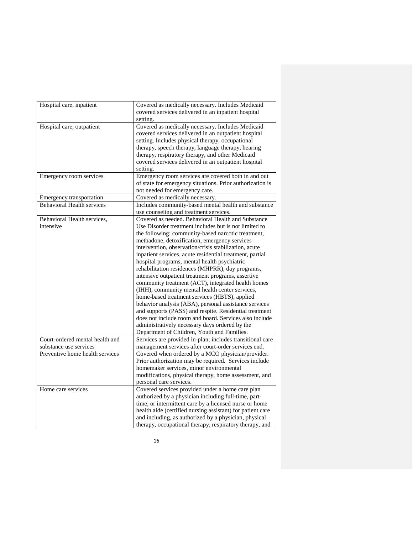| Hospital care, inpatient          | Covered as medically necessary. Includes Medicaid          |
|-----------------------------------|------------------------------------------------------------|
|                                   | covered services delivered in an inpatient hospital        |
|                                   | setting.                                                   |
| Hospital care, outpatient         | Covered as medically necessary. Includes Medicaid          |
|                                   | covered services delivered in an outpatient hospital       |
|                                   | setting. Includes physical therapy, occupational           |
|                                   | therapy, speech therapy, language therapy, hearing         |
|                                   | therapy, respiratory therapy, and other Medicaid           |
|                                   | covered services delivered in an outpatient hospital       |
|                                   | setting.                                                   |
| Emergency room services           | Emergency room services are covered both in and out        |
|                                   | of state for emergency situations. Prior authorization is  |
|                                   | not needed for emergency care.                             |
| Emergency transportation          | Covered as medically necessary.                            |
| <b>Behavioral Health services</b> | Includes community-based mental health and substance       |
|                                   | use counseling and treatment services.                     |
| Behavioral Health services,       | Covered as needed. Behavioral Health and Substance         |
| intensive                         | Use Disorder treatment includes but is not limited to      |
|                                   | the following: community-based narcotic treatment,         |
|                                   | methadone, detoxification, emergency services              |
|                                   | intervention, observation/crisis stabilization, acute      |
|                                   | inpatient services, acute residential treatment, partial   |
|                                   | hospital programs, mental health psychiatric               |
|                                   | rehabilitation residences (MHPRR), day programs,           |
|                                   | intensive outpatient treatment programs, assertive         |
|                                   | community treatment (ACT), integrated health homes         |
|                                   | (IHH), community mental health center services,            |
|                                   | home-based treatment services (HBTS), applied              |
|                                   | behavior analysis (ABA), personal assistance services      |
|                                   | and supports (PASS) and respite. Residential treatment     |
|                                   | does not include room and board. Services also include     |
|                                   | administratively necessary days ordered by the             |
|                                   | Department of Children, Youth and Families.                |
| Court-ordered mental health and   | Services are provided in-plan; includes transitional care  |
| substance use services            | management services after court-order services end.        |
| Preventive home health services   | Covered when ordered by a MCO physician/provider.          |
|                                   | Prior authorization may be required. Services include      |
|                                   | homemaker services, minor environmental                    |
|                                   | modifications, physical therapy, home assessment, and      |
|                                   | personal care services.                                    |
| Home care services                | Covered services provided under a home care plan           |
|                                   | authorized by a physician including full-time, part-       |
|                                   | time, or intermittent care by a licensed nurse or home     |
|                                   | health aide (certified nursing assistant) for patient care |
|                                   | and including, as authorized by a physician, physical      |
|                                   | therapy, occupational therapy, respiratory therapy, and    |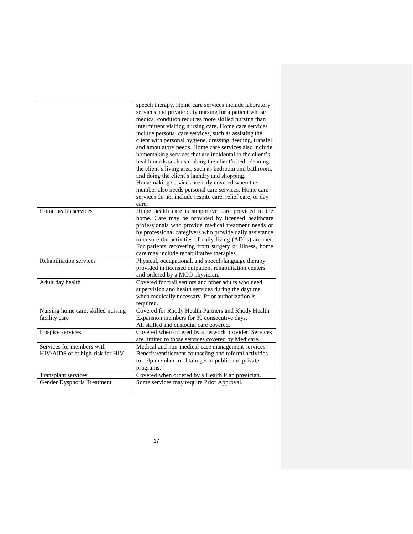|                                                               | speech therapy. Home care services include laboratory<br>services and private duty nursing for a patient whose<br>medical condition requires more skilled nursing than<br>intermittent visiting nursing care. Home care services<br>include personal care services, such as assisting the<br>client with personal hygiene, dressing, feeding, transfer<br>and ambulatory needs. Home care services also include<br>homemaking services that are incidental to the client's<br>health needs such as making the client's bed, cleaning<br>the client's living area, such as bedroom and bathroom,<br>and doing the client's laundry and shopping.<br>Homemaking services are only covered when the<br>member also needs personal care services. Home care<br>services do not include respite care, relief care, or day<br>care. |
|---------------------------------------------------------------|-------------------------------------------------------------------------------------------------------------------------------------------------------------------------------------------------------------------------------------------------------------------------------------------------------------------------------------------------------------------------------------------------------------------------------------------------------------------------------------------------------------------------------------------------------------------------------------------------------------------------------------------------------------------------------------------------------------------------------------------------------------------------------------------------------------------------------|
| Home health services                                          | Home health care is supportive care provided in the<br>home. Care may be provided by licensed healthcare<br>professionals who provide medical treatment needs or<br>by professional caregivers who provide daily assistance<br>to ensure the activities of daily living (ADLs) are met.<br>For patients recovering from surgery or illness, home<br>care may include rehabilitative therapies.                                                                                                                                                                                                                                                                                                                                                                                                                                |
| Rehabilitation services                                       | Physical, occupational, and speech/language therapy<br>provided in licensed outpatient rehabilitation centers<br>and ordered by a MCO physician.                                                                                                                                                                                                                                                                                                                                                                                                                                                                                                                                                                                                                                                                              |
| Adult day health                                              | Covered for frail seniors and other adults who need<br>supervision and health services during the daytime<br>when medically necessary. Prior authorization is<br>required.                                                                                                                                                                                                                                                                                                                                                                                                                                                                                                                                                                                                                                                    |
| Nursing home care, skilled nursing<br>facility care           | Covered for Rhody Health Partners and Rhody Health<br>Expansion members for 30 consecutive days.<br>All skilled and custodial care covered.                                                                                                                                                                                                                                                                                                                                                                                                                                                                                                                                                                                                                                                                                   |
| Hospice services                                              | Covered when ordered by a network provider. Services<br>are limited to those services covered by Medicare.                                                                                                                                                                                                                                                                                                                                                                                                                                                                                                                                                                                                                                                                                                                    |
| Services for members with<br>HIV/AIDS or at high-risk for HIV | Medical and non-medical case management services.<br>Benefits/entitlement counseling and referral activities<br>to help member to obtain get to public and private<br>programs.                                                                                                                                                                                                                                                                                                                                                                                                                                                                                                                                                                                                                                               |
| <b>Transplant services</b>                                    | Covered when ordered by a Health Plan physician.                                                                                                                                                                                                                                                                                                                                                                                                                                                                                                                                                                                                                                                                                                                                                                              |
| Gender Dysphoria Treatment                                    | Some services may require Prior Approval.                                                                                                                                                                                                                                                                                                                                                                                                                                                                                                                                                                                                                                                                                                                                                                                     |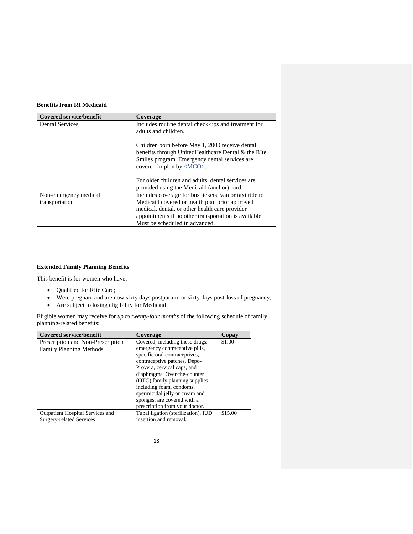# **Benefits from RI Medicaid**

| <b>Covered service/benefit</b> | Coverage                                                                                                                                                                                   |
|--------------------------------|--------------------------------------------------------------------------------------------------------------------------------------------------------------------------------------------|
| <b>Dental Services</b>         | Includes routine dental check-ups and treatment for<br>adults and children.                                                                                                                |
|                                | Children born before May 1, 2000 receive dental<br>benefits through UnitedHealthcare Dental & the RIte<br>Smiles program. Emergency dental services are<br>covered in-plan by <mco>.</mco> |
|                                | For older children and adults, dental services are<br>provided using the Medicaid (anchor) card.                                                                                           |
| Non-emergency medical          | Includes coverage for bus tickets, van or taxi ride to                                                                                                                                     |
| transportation                 | Medicaid covered or health plan prior approved                                                                                                                                             |
|                                | medical, dental, or other health care provider                                                                                                                                             |
|                                | appointments if no other transportation is available.                                                                                                                                      |
|                                | Must be scheduled in advanced.                                                                                                                                                             |

# **Extended Family Planning Benefits**

This benefit is for women who have:

- Qualified for RIte Care;
- Were pregnant and are now sixty days postpartum or sixty days post-loss of pregnancy;
- Are subject to losing eligibility for Medicaid.

Eligible women may receive for *up to twenty-four months* of the following schedule of family planning-related benefits:

| <b>Covered service/benefit</b>    | Coverage                            | Copay   |
|-----------------------------------|-------------------------------------|---------|
| Prescription and Non-Prescription | Covered, including these drugs:     | \$1.00  |
| <b>Family Planning Methods</b>    | emergency contraceptive pills,      |         |
|                                   | specific oral contraceptives,       |         |
|                                   | contraceptive patches, Depo-        |         |
|                                   | Provera, cervical caps, and         |         |
|                                   | diaphragms. Over-the-counter        |         |
|                                   | (OTC) family planning supplies,     |         |
|                                   | including foam, condoms,            |         |
|                                   | spermicidal jelly or cream and      |         |
|                                   | sponges, are covered with a         |         |
|                                   | prescription from your doctor.      |         |
| Outpatient Hospital Services and  | Tubal ligation (sterilization). IUD | \$15.00 |
| Surgery-related Services          | insertion and removal.              |         |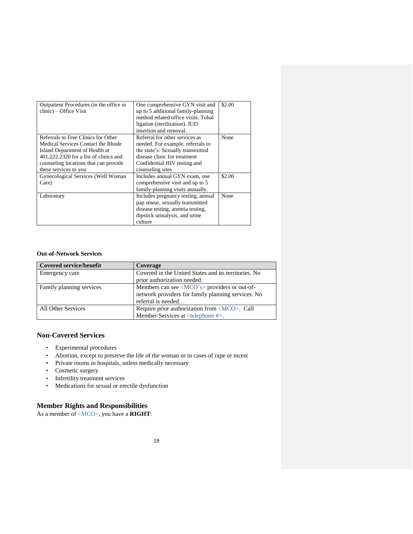| Outpatient Procedures (in the office or | One comprehensive GYN visit and     | \$2.00 |
|-----------------------------------------|-------------------------------------|--------|
| clinic) – Office Visit                  | up to 5 additional family-planning  |        |
|                                         | method related office visits. Tubal |        |
|                                         | ligation (sterilization). IUD       |        |
|                                         | insertion and removal.              |        |
| Referrals to Free Clinics for Other     | Referral for other services as      | None   |
| Medical Services Contact the Rhode      | needed. For example, referrals to   |        |
| Island Department of Health at          | the state's: Sexually transmitted   |        |
| 401.222.2320 for a list of clinics and  | disease clinic for treatment        |        |
| counseling locations that can provide   | Confidential HIV testing and        |        |
| these services to you                   | counseling sites                    |        |
| Gynecological Services (Well Woman      | Includes annual GYN exam, one       | \$2.00 |
| Care)                                   | comprehensive visit and up to 5     |        |
|                                         | family-planning visits annually.    |        |
| Laboratory                              | Includes pregnancy testing, annual  | None   |
|                                         | pap smear, sexually transmitted     |        |
|                                         | disease testing, anemia testing,    |        |
|                                         | dipstick urinalysis, and urine      |        |
|                                         | culture                             |        |

# **Out-of-Network Services**

| <b>Covered service/benefit</b> | Coverage                                                     |
|--------------------------------|--------------------------------------------------------------|
| Emergency care                 | Covered in the United States and its territories. No         |
|                                | prior authorization needed.                                  |
| Family planning services       | Members can see $\langle MCO's \rangle$ providers or out-of- |
|                                | network providers for family planning services. No           |
|                                | referral is needed.                                          |
| All Other Services             | Require prior authorization from <mco>. Call</mco>           |
|                                | Member Services at <telephone #="">.</telephone>             |

# **Non-Covered Services**

- Experimental procedures
- Abortion, except to preserve the life of the woman or in cases of rape or incest
- Private rooms in hospitals, unless medically necessary
- Cosmetic surgery
- Infertility treatment services
- Medications for sexual or erectile dysfunction

# **Member Rights and Responsibilities**

As a member of <MCO>, you have a **RIGHT**: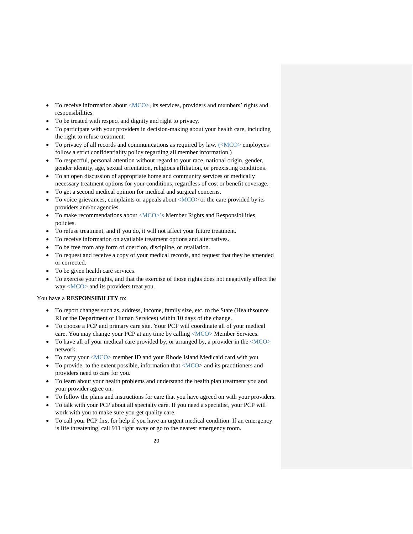- To receive information about <MCO>, its services, providers and members' rights and responsibilities
- To be treated with respect and dignity and right to privacy.
- To participate with your providers in decision-making about your health care, including the right to refuse treatment.
- To privacy of all records and communications as required by law.  $\langle \langle MCO \rangle$  employees follow a strict confidentiality policy regarding all member information.)
- To respectful, personal attention without regard to your race, national origin, gender, gender identity, age, sexual orientation, religious affiliation, or preexisting conditions.
- To an open discussion of appropriate home and community services or medically necessary treatment options for your conditions, regardless of cost or benefit coverage.
- To get a second medical opinion for medical and surgical concerns.
- To voice grievances, complaints or appeals about  $\langle MCO \rangle$  or the care provided by its providers and/or agencies.
- To make recommendations about <MCO>'s Member Rights and Responsibilities policies.
- To refuse treatment, and if you do, it will not affect your future treatment.
- To receive information on available treatment options and alternatives.
- To be free from any form of coercion, discipline, or retaliation.
- To request and receive a copy of your medical records, and request that they be amended or corrected.
- To be given health care services.
- To exercise your rights, and that the exercise of those rights does not negatively affect the way <MCO> and its providers treat you.

#### You have a **RESPONSIBILITY** to:

- To report changes such as, address, income, family size, etc. to the State (Healthsource RI or the Department of Human Services) within 10 days of the change.
- To choose a PCP and primary care site. Your PCP will coordinate all of your medical care. You may change your PCP at any time by calling <MCO> Member Services.
- To have all of your medical care provided by, or arranged by, a provider in the  $\langle MCO \rangle$ network.
- To carry your <MCO> member ID and your Rhode Island Medicaid card with you
- To provide, to the extent possible, information that  $\langle MCO \rangle$  and its practitioners and providers need to care for you.
- To learn about your health problems and understand the health plan treatment you and your provider agree on.
- To follow the plans and instructions for care that you have agreed on with your providers.
- To talk with your PCP about all specialty care. If you need a specialist, your PCP will work with you to make sure you get quality care.
- To call your PCP first for help if you have an urgent medical condition. If an emergency is life threatening, call 911 right away or go to the nearest emergency room.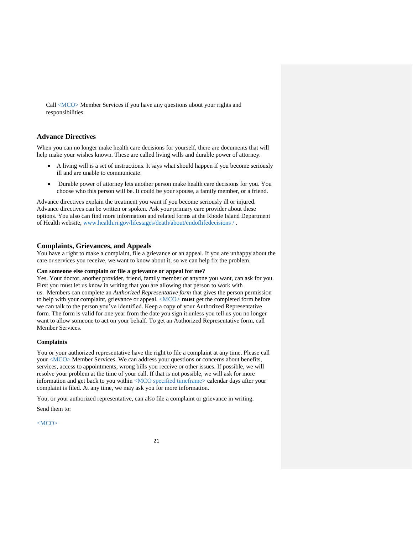Call <MCO> Member Services if you have any questions about your rights and responsibilities.

# **Advance Directives**

When you can no longer make health care decisions for yourself, there are documents that will help make your wishes known. These are called living wills and durable power of attorney.

- A living will is a set of instructions. It says what should happen if you become seriously ill and are unable to communicate.
- Durable power of attorney lets another person make health care decisions for you. You choose who this person will be. It could be your spouse, a family member, or a friend.

Advance directives explain the treatment you want if you become seriously ill or injured. Advance directives can be written or spoken. Ask your primary care provider about these options. You also can find more information and related forms at the Rhode Island Department of Health website, [www.health.ri.gov/lifestages/death/about/endoflifedecisions /](http://www.health.ri.gov/lifestages/death/about/endoflifedecisions%20/) .

#### **Complaints, Grievances, and Appeals**

You have a right to make a complaint, file a grievance or an appeal. If you are unhappy about the care or services you receive, we want to know about it, so we can help fix the problem.

#### **Can someone else complain or file a grievance or appeal for me?**

Yes. Your doctor, another provider, friend, family member or anyone you want, can ask for you. First you must let us know in writing that you are allowing that person to work with us. Members can complete an *Authorized Representative form* that gives the person permission to help with your complaint, grievance or appeal. <MCO> **must** get the completed form before we can talk to the person you've identified. Keep a copy of your Authorized Representative form. The form is valid for one year from the date you sign it unless you tell us you no longer want to allow someone to act on your behalf. To get an Authorized Representative form, call Member Services.

#### **Complaints**

You or your authorized representative have the right to file a complaint at any time. Please call your <MCO> Member Services. We can address your questions or concerns about benefits, services, access to appointments, wrong bills you receive or other issues. If possible, we will resolve your problem at the time of your call. If that is not possible, we will ask for more information and get back to you within <MCO specified timeframe> calendar days after your complaint is filed. At any time, we may ask you for more information.

You, or your authorized representative, can also file a complaint or grievance in writing. Send them to:

<MCO>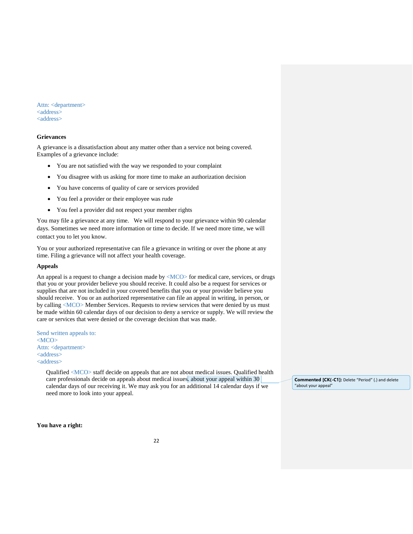Attn: <department> <address> <address>

#### **Grievances**

A grievance is a dissatisfaction about any matter other than a service not being covered. Examples of a grievance include:

- You are not satisfied with the way we responded to your complaint
- You disagree with us asking for more time to make an authorization decision
- You have concerns of quality of care or services provided
- You feel a provider or their employee was rude
- You feel a provider did not respect your member rights

You may file a grievance at any time. We will respond to your grievance within 90 calendar days. Sometimes we need more information or time to decide. If we need more time, we will contact you to let you know.

You or your authorized representative can file a grievance in writing or over the phone at any time. Filing a grievance will not affect your health coverage.

#### **Appeals**

An appeal is a request to change a decision made by  $\langle MCO \rangle$  for medical care, services, or drugs that you or your provider believe you should receive. It could also be a request for services or supplies that are not included in your covered benefits that you or your provider believe you should receive. You or an authorized representative can file an appeal in writing, in person, or by calling <MCO> Member Services. Requests to review services that were denied by us must be made within 60 calendar days of our decision to deny a service or supply. We will review the care or services that were denied or the coverage decision that was made.

Send written appeals to:  $<$ MCO $>$ Attn: <department> <address> <address>

> Qualified <MCO> staff decide on appeals that are not about medical issues. Qualified health care professionals decide on appeals about medical issues. about your appeal within 30 calendar days of our receiving it. We may ask you for an additional 14 calendar days if we need more to look into your appeal.

**Commented [CK(-C1]:** Delete "Period" (.) and delete "about your appeal"

**You have a right:**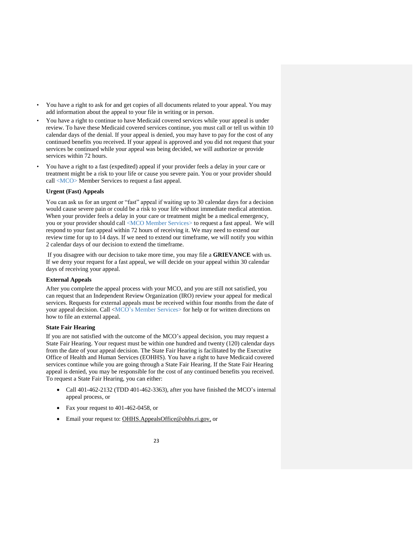- You have a right to ask for and get copies of all documents related to your appeal. You may add information about the appeal to your file in writing or in person.
- You have a right to continue to have Medicaid covered services while your appeal is under review. To have these Medicaid covered services continue, you must call or tell us within 10 calendar days of the denial. If your appeal is denied, you may have to pay for the cost of any continued benefits you received. If your appeal is approved and you did not request that your services be continued while your appeal was being decided, we will authorize or provide services within 72 hours.
- You have a right to a fast (expedited) appeal if your provider feels a delay in your care or treatment might be a risk to your life or cause you severe pain. You or your provider should call <MCO> Member Services to request a fast appeal.

#### **Urgent (Fast) Appeals**

You can ask us for an urgent or "fast" appeal if waiting up to 30 calendar days for a decision would cause severe pain or could be a risk to your life without immediate medical attention. When your provider feels a delay in your care or treatment might be a medical emergency, you or your provider should call <MCO Member Services> to request a fast appeal. We will respond to your fast appeal within 72 hours of receiving it. We may need to extend our review time for up to 14 days. If we need to extend our timeframe, we will notify you within 2 calendar days of our decision to extend the timeframe.

If you disagree with our decision to take more time, you may file a **GRIEVANCE** with us. If we deny your request for a fast appeal, we will decide on your appeal within 30 calendar days of receiving your appeal.

#### **External Appeals**

After you complete the appeal process with your MCO, and you are still not satisfied, you can request that an Independent Review Organization (IRO) review your appeal for medical services. Requests for external appeals must be received within four months from the date of your appeal decision. Call <MCO's Member Services> for help or for written directions on how to file an external appeal.

#### **State Fair Hearing**

If you are not satisfied with the outcome of the MCO's appeal decision, you may request a State Fair Hearing. Your request must be within one hundred and twenty (120) calendar days from the date of your appeal decision. The State Fair Hearing is facilitated by the Executive Office of Health and Human Services (EOHHS). You have a right to have Medicaid covered services continue while you are going through a State Fair Hearing. If the State Fair Hearing appeal is denied, you may be responsible for the cost of any continued benefits you received. To request a State Fair Hearing, you can either:

- Call 401-462-2132 (TDD 401-462-3363), after you have finished the MCO's internal appeal process, or
- Fax your request to 401-462-0458, or
- Email your request to: OHHS.AppealsOffice@ohhs.ri.gov.or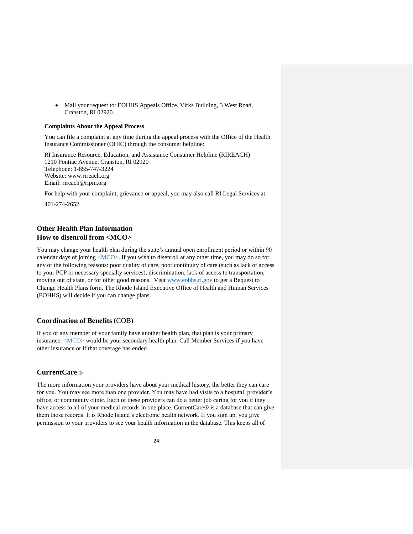• Mail your request to: EOHHS Appeals Office, Virks Building, 3 West Road, Cranston, RI 02920.

#### **Complaints About the Appeal Process**

You can file a complaint at any time during the appeal process with the Office of the Health Insurance Commissioner (OHIC) through the consumer helpline:

RI Insurance Resource, Education, and Assistance Consumer Helpline (RIREACH) 1210 Pontiac Avenue, Cranston, RI 02920 Telephone: 1-855-747-3224 Website: [www.rireach.org](http://www.rireach.org/) Email: [rireach@ripin.org](mailto:rireach@ripin.org)

For help with your complaint, grievance or appeal, you may also call RI Legal Services at 401-274-2652.

# **Other Health Plan Information How to disenroll from <MCO>**

You may change your health plan during the state's annual open enrollment period or within 90 calendar days of joining  $\langle MCO \rangle$ . If you wish to disenroll at any other time, you may do so for any of the following reasons: poor quality of care, poor continuity of care (such as lack of access to your PCP or necessary specialty services), discrimination, lack of access to transportation, moving out of state, or for other good reasons. Visit [www.eohhs.ri.gov](http://www.eohhs.ri.gov/) to get a Request to Change Health Plans form. The Rhode Island Executive Office of Health and Human Services (EOHHS) will decide if you can change plans.

# **Coordination of Benefits** (COB)

If you or any member of your family have another health plan, that plan is your primary insurance. <MCO> would be your secondary health plan. Call Member Services if you have other insurance or if that coverage has ended

# **CurrentCare** ®

The more information your providers have about your medical history, the better they can care for you. You may see more than one provider. You may have had visits to a hospital, provider's office, or community clinic. Each of these providers can do a better job caring for you if they have access to all of your medical records in one place. CurrentCare<sup>®</sup> is a database that can give them those records. It is Rhode Island's electronic health network. If you sign up, you give permission to your providers to see your health information in the database. This keeps all of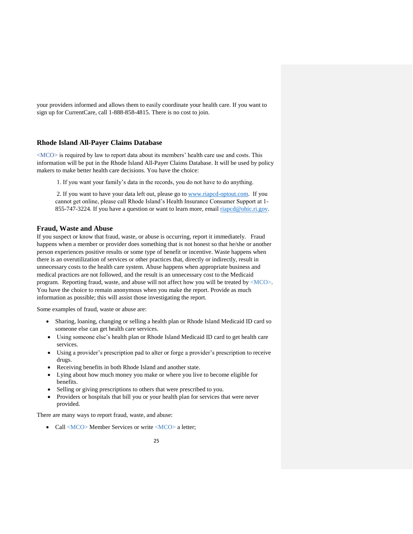your providers informed and allows them to easily coordinate your health care. If you want to sign up for CurrentCare, call 1-888-858-4815. There is no cost to join.

#### **Rhode Island All-Payer Claims Database**

<MCO> is required by law to report data about its members' health care use and costs. This information will be put in the Rhode Island All-Payer Claims Database. It will be used by policy makers to make better health care decisions. You have the choice:

1. If you want your family's data in the records, you do not have to do anything.

2. If you want to have your data left out, please go to [www.riapcd-optout.com.](http://www.riapcd-optout.com/) If you cannot get online, please call Rhode Island's Health Insurance Consumer Support at 1 855-747-3224. If you have a question or want to learn more, email [riapcd@ohic.ri.gov.](mailto:riapcd@ohic.ri.gov)

#### **Fraud, Waste and Abuse**

If you suspect or know that fraud, waste, or abuse is occurring, report it immediately. Fraud happens when a member or provider does something that is not honest so that he/she or another person experiences positive results or some type of benefit or incentive. Waste happens when there is an overutilization of services or other practices that, directly or indirectly, result in unnecessary costs to the health care system. Abuse happens when appropriate business and medical practices are not followed, and the result is an unnecessary cost to the Medicaid program. Reporting fraud, waste, and abuse will not affect how you will be treated by <MCO>. You have the choice to remain anonymous when you make the report. Provide as much information as possible; this will assist those investigating the report.

Some examples of fraud, waste or abuse are:

- Sharing, loaning, changing or selling a health plan or Rhode Island Medicaid ID card so someone else can get health care services.
- Using someone else's health plan or Rhode Island Medicaid ID card to get health care services.
- Using a provider's prescription pad to alter or forge a provider's prescription to receive drugs.
- Receiving benefits in both Rhode Island and another state.
- Lying about how much money you make or where you live to become eligible for benefits.
- Selling or giving prescriptions to others that were prescribed to you.
- Providers or hospitals that bill you or your health plan for services that were never provided.

There are many ways to report fraud, waste, and abuse:

• Call <MCO> Member Services or write <MCO> a letter;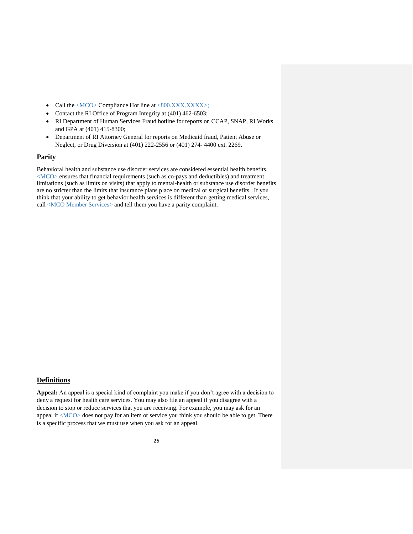- Call the  $\langle MCO \rangle$  Compliance Hot line at  $\langle 800.XXXXXX \rangle$ ;
- Contact the RI Office of Program Integrity at (401) 462-6503;
- RI Department of Human Services Fraud hotline for reports on CCAP, SNAP, RI Works and GPA at (401) 415-8300;
- Department of RI Attorney General for reports on Medicaid fraud, Patient Abuse or Neglect, or Drug Diversion at (401) 222-2556 or (401) 274- 4400 ext. 2269.

#### **Parity**

Behavioral health and substance use disorder services are considered essential health benefits. <MCO> ensures that financial requirements (such as co-pays and deductibles) and treatment limitations (such as limits on visits) that apply to mental-health or substance use disorder benefits are no stricter than the limits that insurance plans place on medical or surgical benefits. If you think that your ability to get behavior health services is different than getting medical services, call <MCO Member Services> and tell them you have a parity complaint.

# **Definitions**

**Appeal:** An appeal is a special kind of complaint you make if you don't agree with a decision to deny a request for health care services. You may also file an appeal if you disagree with a decision to stop or reduce services that you are receiving. For example, you may ask for an appeal if <MCO> does not pay for an item or service you think you should be able to get. There is a specific process that we must use when you ask for an appeal.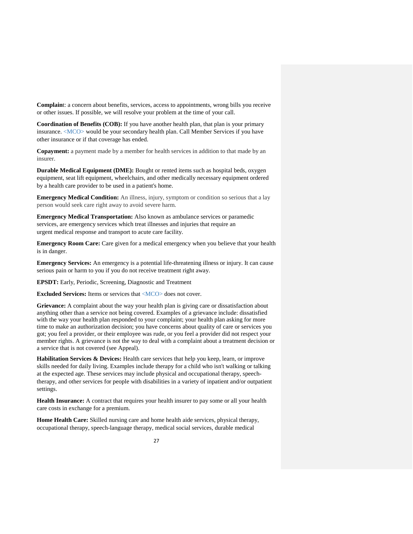**Complain**t: a concern about benefits, services, access to appointments, wrong bills you receive or other issues. If possible, we will resolve your problem at the time of your call.

**Coordination of Benefits (COB):** If you have another health plan, that plan is your primary insurance. <MCO> would be your secondary health plan. Call Member Services if you have other insurance or if that coverage has ended.

**Copayment:** a payment made by a member for health services in addition to that made by an insurer.

**Durable Medical Equipment (DME):** Bought or rented items such as hospital beds, oxygen equipment, seat lift equipment, wheelchairs, and other medically necessary equipment ordered by a health care provider to be used in a patient's home.

**Emergency Medical Condition:** An illness, injury, symptom or condition so serious that a lay person would seek care right away to avoid severe harm.

**Emergency Medical Transportation:** Also known as ambulance services or paramedic services, are emergency services which treat illnesses and injuries that require an urgent medical response and transport to acute care facility.

**Emergency Room Care:** Care given for a medical emergency when you believe that your health is in danger.

**Emergency Services:** An emergency is a potential life-threatening illness or injury. It can cause serious pain or harm to you if you do not receive treatment right away.

**EPSDT:** Early, Periodic, Screening, Diagnostic and Treatment

**Excluded Services:** Items or services that <MCO> does not cover.

**Grievance:** A complaint about the way your health plan is giving care or dissatisfaction about anything other than a service not being covered. Examples of a grievance include: dissatisfied with the way your health plan responded to your complaint; your health plan asking for more time to make an authorization decision; you have concerns about quality of care or services you got; you feel a provider, or their employee was rude, or you feel a provider did not respect your member rights. A grievance is not the way to deal with a complaint about a treatment decision or a service that is not covered (see Appeal).

**Habilitation Services & Devices:** Health care services that help you keep, learn, or improve skills needed for daily living. Examples include therapy for a child who isn't walking or talking at the expected age. These services may include physical and occupational therapy, speechtherapy, and other services for people with disabilities in a variety of inpatient and/or outpatient settings.

**Health Insurance:** A contract that requires your health insurer to pay some or all your health care costs in exchange for a premium.

**Home Health Care:** Skilled nursing care and home health aide services, physical therapy, occupational therapy, speech-language therapy, medical social services, durable medical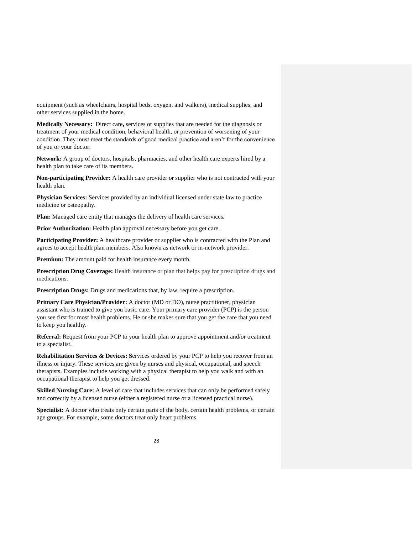equipment (such as wheelchairs, hospital beds, oxygen, and walkers), medical supplies, and other services supplied in the home.

**Medically Necessary:** Direct care**,** services or supplies that are needed for the diagnosis or treatment of your medical condition, behavioral health, or prevention of worsening of your condition. They must meet the standards of good medical practice and aren't for the convenience of you or your doctor.

**Network:** A group of doctors, hospitals, pharmacies, and other health care experts hired by a health plan to take care of its members.

**Non-participating Provider:** A health care provider or supplier who is not contracted with your health plan.

**Physician Services:** Services provided by an individual licensed under state law to practice medicine or osteopathy.

**Plan:** Managed care entity that manages the delivery of health care services.

Prior Authorization: Health plan approval necessary before you get care.

**Participating Provider:** A healthcare provider or supplier who is contracted with the Plan and agrees to accept health plan members. Also known as network or in-network provider.

**Premium:** The amount paid for health insurance every month.

**Prescription Drug Coverage:** Health insurance or plan that helps pay for prescription drugs and medications.

**Prescription Drugs:** Drugs and medications that, by law, require a prescription.

**Primary Care Physician/Provider:** A doctor (MD or DO), nurse practitioner, physician assistant who is trained to give you basic care. Your primary care provider (PCP) is the person you see first for most health problems. He or she makes sure that you get the care that you need to keep you healthy.

**Referral:** Request from your PCP to your health plan to approve appointment and/or treatment to a specialist.

**Rehabilitation Services & Devices: Services** ordered by your PCP to help you recover from an illness or injury. These services are given by nurses and physical, occupational, and speech therapists. Examples include working with a physical therapist to help you walk and with an occupational therapist to help you get dressed.

**Skilled Nursing Care:** A level of care that includes services that can only be performed safely and correctly by a licensed nurse (either a registered nurse or a licensed practical nurse).

**Specialist:** A doctor who treats only certain parts of the body, certain health problems, or certain age groups. For example, some doctors treat only heart problems.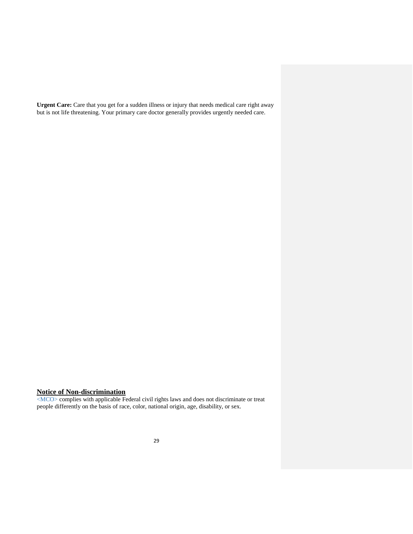Urgent Care: Care that you get for a sudden illness or injury that needs medical care right away but is not life threatening. Your primary care doctor generally provides urgently needed care.

# **Notice of Non-discrimination**

<MCO> complies with applicable Federal civil rights laws and does not discriminate or treat people differently on the basis of race, color, national origin, age, disability, or sex.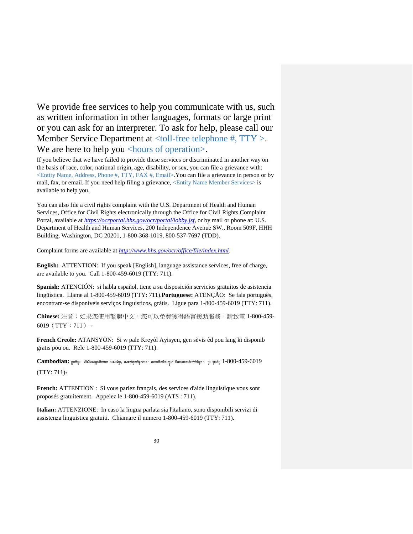We provide free services to help you communicate with us, such as written information in other languages, formats or large print or you can ask for an interpreter. To ask for help, please call our Member Service Department at <toll-free telephone #, TTY >. We are here to help you <hours of operation>.

If you believe that we have failed to provide these services or discriminated in another way on the basis of race, color, national origin, age, disability, or sex, you can file a grievance with: <Entity Name, Address, Phone #, TTY, FAX #, Email>.You can file a grievance in person or by mail, fax, or email. If you need help filing a grievance, <Entity Name Member Services> is available to help you.

You can also file a civil rights complaint with the U.S. Department of Health and Human Services, Office for Civil Rights electronically through the Office for Civil Rights Complaint Portal, available at *[https://ocrportal.hhs.gov/ocr/portal/lobby.jsf,](https://ocrportal.hhs.gov/ocr/portal/lobby.jsf)* or by mail or phone at: U.S. Department of Health and Human Services, 200 Independence Avenue SW., Room 509F, HHH Building, Washington, DC 20201, 1-800-368-1019, 800-537-7697 (TDD).

Complaint forms are available at *<http://www.hhs.gov/ocr/office/file/index.html>.*

**English:** ATTENTION: If you speak [English], language assistance services, free of charge, are available to you. Call 1-800-459-6019 (TTY: 711).

**Spanish:** ATENCIÓN: si habla español, tiene a su disposición servicios gratuitos de asistencia lingüística. Llame al 1-800-459-6019 (TTY: 711).**Portuguese:** ATENÇÃO: Se fala português, encontram-se disponíveis serviços linguísticos, grátis. Ligue para 1-800-459-6019 (TTY: 711).

**Chinese:** 注意:如果您使用繁體中文,您可以免費獲得語言援助服務。請致電 1-800-459- 6019(TTY:711)。

**French Creole:** ATANSYON: Si w pale Kreyòl Ayisyen, gen sèvis èd pou lang ki disponib gratis pou ou. Rele 1-800-459-6019 (TTY: 711).

**Cambodian:** ប្រយ័ត្ន៖ បរើសិនជាអ្នកនិយាយ ភាសាខ្មែរ, បសវាជំនួយខ្ននកភាសា បោយមិនគិត្ឈ្នួល គឺអាចមានសំរារ់រំបរើអ្នក។ ចូរ ទូរស័ព្ទ1-800-459-6019

(TTY: 711)។

**French:** ATTENTION : Si vous parlez français, des services d'aide linguistique vous sont proposés gratuitement. Appelez le 1-800-459-6019 (ATS : 711).

**Italian:** ATTENZIONE: In caso la lingua parlata sia l'italiano, sono disponibili servizi di assistenza linguistica gratuiti. Chiamare il numero 1-800-459-6019 (TTY: 711).